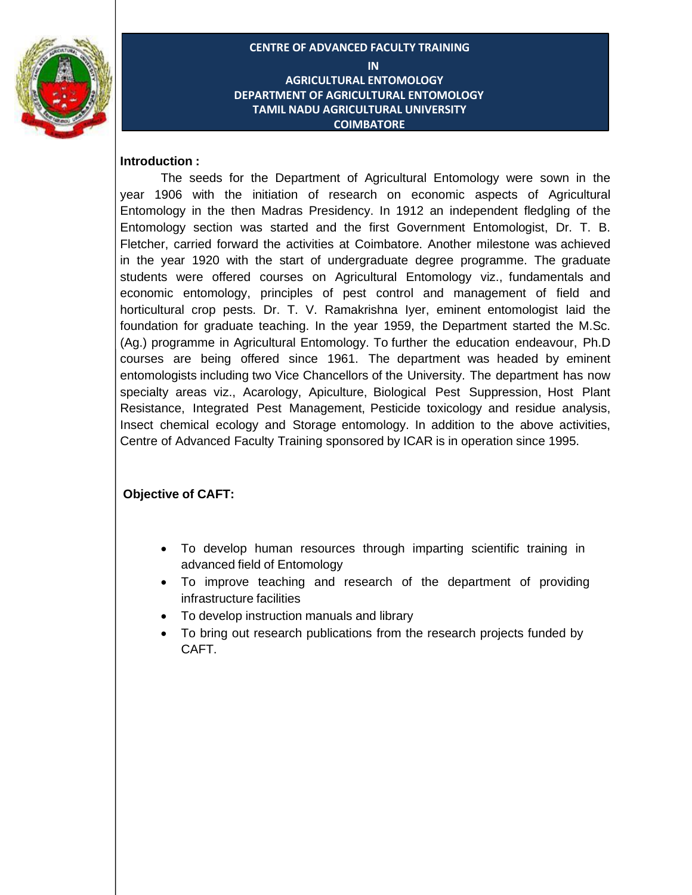

**CENTRE OF ADVANCED FACULTY TRAINING IN AGRICULTURAL ENTOMOLOGY DEPARTMENT OF AGRICULTURAL ENTOMOLOGY TAMIL NADU AGRICULTURAL UNIVERSITY COIMBATORE**

#### **Introduction :**

The seeds for the Department of Agricultural Entomology were sown in the year 1906 with the initiation of research on economic aspects of Agricultural Entomology in the then Madras Presidency. In 1912 an independent fledgling of the Entomology section was started and the first Government Entomologist, Dr. T. B. Fletcher, carried forward the activities at Coimbatore. Another milestone was achieved in the year 1920 with the start of undergraduate degree programme. The graduate students were offered courses on Agricultural Entomology viz., fundamentals and economic entomology, principles of pest control and management of field and horticultural crop pests. Dr. T. V. Ramakrishna Iyer, eminent entomologist laid the foundation for graduate teaching. In the year 1959, the Department started the M.Sc. (Ag.) programme in Agricultural Entomology. To further the education endeavour, Ph.D courses are being offered since 1961. The department was headed by eminent entomologists including two Vice Chancellors of the University. The department has now specialty areas viz., Acarology, Apiculture, Biological Pest Suppression, Host Plant Resistance, Integrated Pest Management, Pesticide toxicology and residue analysis, Insect chemical ecology and Storage entomology. In addition to the above activities, Centre of Advanced Faculty Training sponsored by ICAR is in operation since 1995.

#### **Objective of CAFT:**

- To develop human resources through imparting scientific training in advanced field of Entomology
- To improve teaching and research of the department of providing infrastructure facilities
- To develop instruction manuals and library
- To bring out research publications from the research projects funded by CAFT.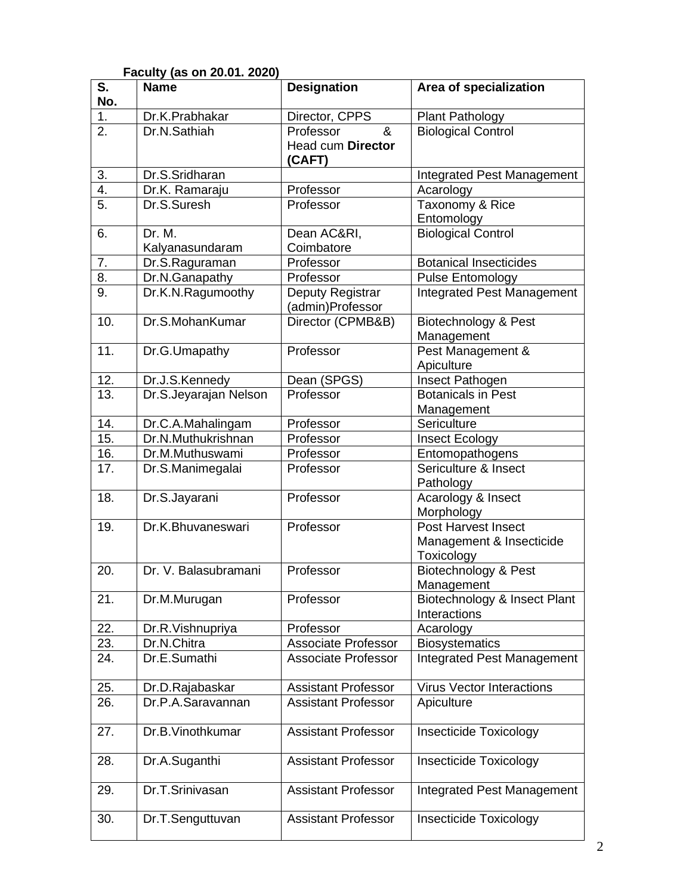| S.               | i avully (as VII zv.v I. zvzv<br><b>Name</b> | <b>Designation</b>                   | Area of specialization                                        |
|------------------|----------------------------------------------|--------------------------------------|---------------------------------------------------------------|
| No.              |                                              |                                      |                                                               |
| 1.               | Dr.K.Prabhakar                               | Director, CPPS                       | <b>Plant Pathology</b>                                        |
| 2.               | Dr.N.Sathiah                                 | Professor<br>&                       | <b>Biological Control</b>                                     |
|                  |                                              | Head cum Director<br>(CAFT)          |                                                               |
| 3.               | Dr.S.Sridharan                               |                                      | Integrated Pest Management                                    |
| 4.               | Dr.K. Ramaraju                               | Professor                            | Acarology                                                     |
| 5.               | Dr.S.Suresh                                  | Professor                            | Taxonomy & Rice<br>Entomology                                 |
| 6.               | Dr. M.<br>Kalyanasundaram                    | Dean AC&RI,<br>Coimbatore            | <b>Biological Control</b>                                     |
| 7.               | Dr.S.Raguraman                               | Professor                            | <b>Botanical Insecticides</b>                                 |
| $\overline{8}$ . | Dr.N.Ganapathy                               | Professor                            | <b>Pulse Entomology</b>                                       |
| 9.               | Dr.K.N.Ragumoothy                            | Deputy Registrar<br>(admin)Professor | <b>Integrated Pest Management</b>                             |
| 10.              | Dr.S.MohanKumar                              | Director (CPMB&B)                    | Biotechnology & Pest<br>Management                            |
| 11.              | Dr.G.Umapathy                                | Professor                            | Pest Management &<br>Apiculture                               |
| 12.              | Dr.J.S.Kennedy                               | Dean (SPGS)                          | Insect Pathogen                                               |
| 13.              | Dr.S.Jeyarajan Nelson                        | Professor                            | <b>Botanicals in Pest</b>                                     |
|                  |                                              |                                      | Management                                                    |
| 14.              | Dr.C.A.Mahalingam                            | Professor                            | Sericulture                                                   |
| 15.              | Dr.N.Muthukrishnan                           | Professor                            | Insect Ecology                                                |
| 16.              | Dr.M.Muthuswami                              | Professor                            | Entomopathogens                                               |
| 17.              | Dr.S.Manimegalai                             | Professor                            | Sericulture & Insect<br>Pathology                             |
| 18.              | Dr.S.Jayarani                                | Professor                            | Acarology & Insect<br>Morphology                              |
| 19.              | Dr.K.Bhuvaneswari                            | Professor                            | Post Harvest Insect<br>Management & Insecticide<br>Toxicology |
| 20.              | Dr. V. Balasubramani                         | Professor                            | Biotechnology & Pest<br>Management                            |
| 21.              | Dr.M.Murugan                                 | Professor                            | Biotechnology & Insect Plant<br>Interactions                  |
| 22.              | Dr.R.Vishnupriya                             | Professor                            | Acarology                                                     |
| 23.              | Dr.N.Chitra                                  | <b>Associate Professor</b>           | <b>Biosystematics</b>                                         |
| 24.              | Dr.E.Sumathi                                 | <b>Associate Professor</b>           | Integrated Pest Management                                    |
| 25.              | Dr.D.Rajabaskar                              | <b>Assistant Professor</b>           | <b>Virus Vector Interactions</b>                              |
| 26.              | Dr.P.A.Saravannan                            | <b>Assistant Professor</b>           | Apiculture                                                    |
| 27.              | Dr.B.Vinothkumar                             | <b>Assistant Professor</b>           | <b>Insecticide Toxicology</b>                                 |
| 28.              | Dr.A.Suganthi                                | <b>Assistant Professor</b>           | <b>Insecticide Toxicology</b>                                 |
| 29.              | Dr.T.Srinivasan                              | <b>Assistant Professor</b>           | Integrated Pest Management                                    |
| 30.              | Dr.T.Senguttuvan                             | <b>Assistant Professor</b>           | <b>Insecticide Toxicology</b>                                 |

# **Faculty (as on 20.01. 2020)**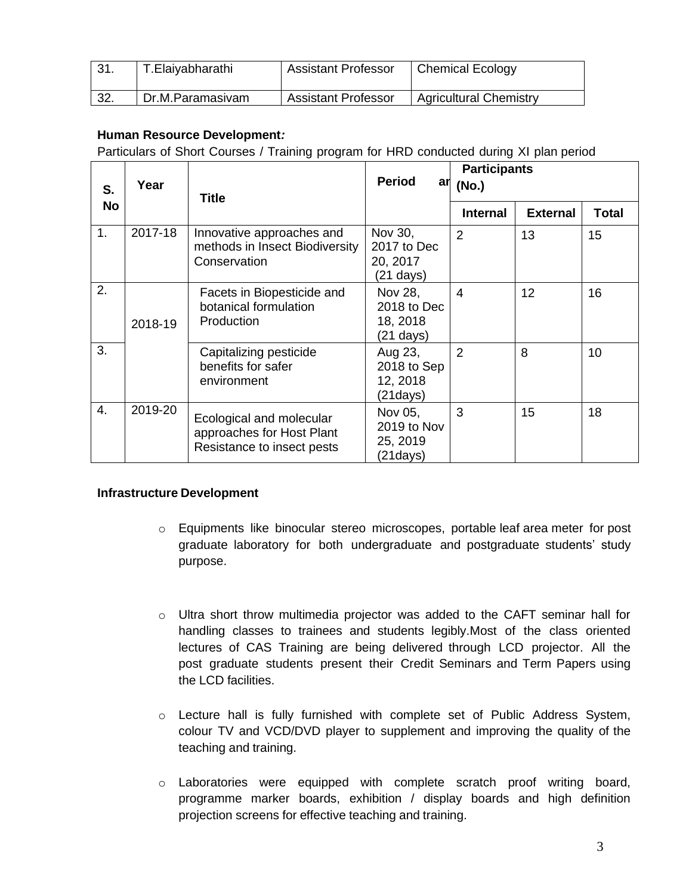| 31. | T.Elaiyabharathi | <b>Assistant Professor</b> | <b>Chemical Ecology</b>       |
|-----|------------------|----------------------------|-------------------------------|
| 32. | Dr.M.Paramasivam | <b>Assistant Professor</b> | <b>Agricultural Chemistry</b> |

### **Human Resource Development***:*

Particulars of Short Courses / Training program for HRD conducted during XI plan period

| S.        | Year    | <b>Title</b>                                                                        | <b>Period</b>                                             | <b>Participants</b><br>$\frac{ar}{x}$ (No.) |                 |              |
|-----------|---------|-------------------------------------------------------------------------------------|-----------------------------------------------------------|---------------------------------------------|-----------------|--------------|
| <b>No</b> |         |                                                                                     |                                                           | <b>Internal</b>                             | <b>External</b> | <b>Total</b> |
| 1.        | 2017-18 | Innovative approaches and<br>methods in Insect Biodiversity<br>Conservation         | Nov 30,<br>2017 to Dec<br>20, 2017<br>$(21 \text{ days})$ | $\overline{2}$                              | 13              | 15           |
| 2.        | 2018-19 | Facets in Biopesticide and<br>botanical formulation<br>Production                   | Nov 28,<br>2018 to Dec<br>18, 2018<br>$(21 \text{ days})$ | $\overline{4}$                              | 12              | 16           |
| 3.        |         | Capitalizing pesticide<br>benefits for safer<br>environment                         | Aug 23,<br>2018 to Sep<br>12, 2018<br>(21days)            | $\overline{2}$                              | 8               | 10           |
| 4.        | 2019-20 | Ecological and molecular<br>approaches for Host Plant<br>Resistance to insect pests | Nov 05,<br>2019 to Nov<br>25, 2019<br>(21 days)           | 3                                           | 15              | 18           |

#### **Infrastructure Development**

- o Equipments like binocular stereo microscopes, portable leaf area meter for post graduate laboratory for both undergraduate and postgraduate students' study purpose.
- o Ultra short throw multimedia projector was added to the CAFT seminar hall for handling classes to trainees and students legibly.Most of the class oriented lectures of CAS Training are being delivered through LCD projector. All the post graduate students present their Credit Seminars and Term Papers using the LCD facilities.
- o Lecture hall is fully furnished with complete set of Public Address System, colour TV and VCD/DVD player to supplement and improving the quality of the teaching and training.
- o Laboratories were equipped with complete scratch proof writing board, programme marker boards, exhibition / display boards and high definition projection screens for effective teaching and training.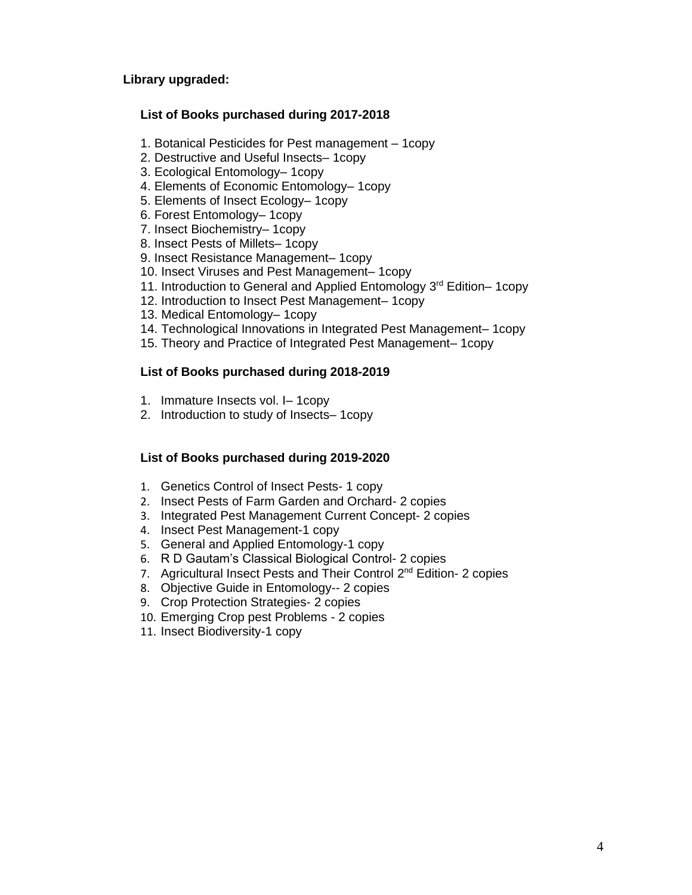#### **Library upgraded:**

### **List of Books purchased during 2017-2018**

- 1. Botanical Pesticides for Pest management 1copy
- 2. Destructive and Useful Insects– 1copy
- 3. Ecological Entomology– 1copy
- 4. Elements of Economic Entomology– 1copy
- 5. Elements of Insect Ecology– 1copy
- 6. Forest Entomology– 1copy
- 7. Insect Biochemistry– 1copy
- 8. Insect Pests of Millets– 1copy
- 9. Insect Resistance Management– 1copy
- 10. Insect Viruses and Pest Management– 1copy
- 11. Introduction to General and Applied Entomology 3<sup>rd</sup> Edition–1copy
- 12. Introduction to Insect Pest Management– 1copy
- 13. Medical Entomology– 1copy
- 14. Technological Innovations in Integrated Pest Management– 1copy
- 15. Theory and Practice of Integrated Pest Management– 1copy

#### **List of Books purchased during 2018-2019**

- 1. Immature Insects vol. I– 1copy
- 2. Introduction to study of Insects– 1copy

#### **List of Books purchased during 2019-2020**

- 1. Genetics Control of Insect Pests- 1 copy
- 2. Insect Pests of Farm Garden and Orchard- 2 copies
- 3. Integrated Pest Management Current Concept- 2 copies
- 4. Insect Pest Management-1 copy
- 5. General and Applied Entomology-1 copy
- 6. R D Gautam's Classical Biological Control- 2 copies
- 7. Agricultural Insect Pests and Their Control 2<sup>nd</sup> Edition- 2 copies
- 8. Objective Guide in Entomology-- 2 copies
- 9. Crop Protection Strategies- 2 copies
- 10. Emerging Crop pest Problems 2 copies
- 11. Insect Biodiversity-1 copy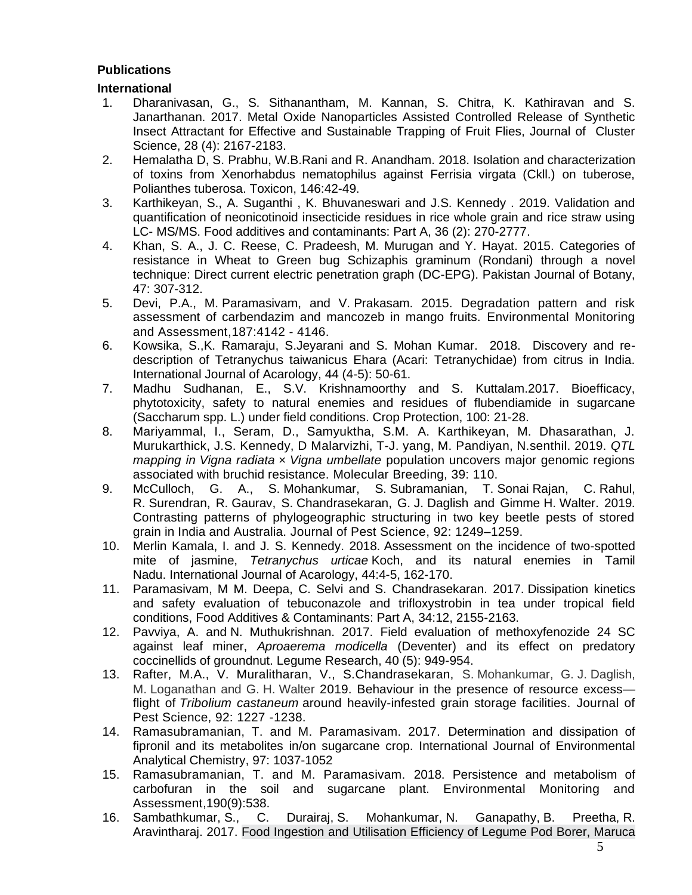### **Publications**

### **International**

- 1. Dharanivasan, G., S. Sithanantham, M. Kannan, S. Chitra, K. Kathiravan and S. Janarthanan. 2017. Metal Oxide Nanoparticles Assisted Controlled Release of Synthetic Insect Attractant for Effective and Sustainable Trapping of Fruit Flies, Journal of Cluster Science, 28 (4): 2167-2183.
- 2. [Hemalatha D,](https://www.ncbi.nlm.nih.gov/pubmed/?term=Hemalatha%20D%5BAuthor%5D&cauthor=true&cauthor_uid=29596848) S. [Prabhu,](https://www.ncbi.nlm.nih.gov/pubmed/?term=Prabhu%20S%5BAuthor%5D&cauthor=true&cauthor_uid=29596848) W.B[.Rani](https://www.ncbi.nlm.nih.gov/pubmed/?term=Rani%20WB%5BAuthor%5D&cauthor=true&cauthor_uid=29596848) and R. [Anandham.](https://www.ncbi.nlm.nih.gov/pubmed/?term=Anandham%20R%5BAuthor%5D&cauthor=true&cauthor_uid=29596848) 2018. Isolation and characterization of toxins from Xenorhabdus nematophilus against Ferrisia virgata (Ckll.) on tuberose, Polianthes tuberosa. Toxicon, 146:42-49.
- 3. Karthikeyan, S., A. Suganthi , K. Bhuvaneswari and J.S. Kennedy . 2019. Validation and quantification of neonicotinoid insecticide residues in rice whole grain and rice straw using LC- MS/MS. Food additives and contaminants: Part A, 36 (2): 270-2777.
- 4. Khan, S. A., J. C. Reese, C. Pradeesh, M. Murugan and Y. Hayat. 2015. Categories of resistance in Wheat to Green bug Schizaphis graminum (Rondani) through a novel technique: Direct current electric penetration graph (DC-EPG). Pakistan Journal of Botany, 47: 307-312.
- 5. Devi, P.A., M. Paramasiva[m,](mailto:sivam25@gmail.com) and V. Prakasam. 2015. Degradation pattern and risk assessment of carbendazim and mancozeb in mango fruits. [Environmental Monitoring](https://link.springer.com/journal/10661)  [and Assessment,](https://link.springer.com/journal/10661)187:4142 - 4146.
- 6. Kowsika, S.,K. Ramaraju, S.Jeyarani and S. Mohan Kumar. 2018. Discovery and redescription of Tetranychus taiwanicus Ehara (Acari: Tetranychidae) from citrus in India. International Journal of Acarology, 44 (4-5): 50-61.
- 7. Madhu Sudhanan, E., S.V. Krishnamoorthy and S. Kuttalam.2017. Bioefficacy, phytotoxicity, safety to natural enemies and residues of flubendiamide in sugarcane (Saccharum spp. L.) under field conditions. Crop Protection, 100: 21-28.
- 8. Mariyammal, I., Seram, D., Samyuktha, S.M. A. Karthikeyan, M. Dhasarathan, J. Murukarthick, J.S. Kennedy, D Malarvizhi, T-J. yang, M. Pandiyan, N.senthil. 2019. *QTL mapping in Vigna radiata* × *Vigna umbellate* population uncovers major genomic regions associated with bruchid resistance. Molecular Breeding, 39: 110.
- 9. McCulloc[h,](mailto:graham.mcculloch@otago.ac.nz) G. A., S. Mohankumar, S. Subramanian, T. Sonai Rajan, C. Rahul, R. Surendran, R. Gaurav, S. Chandrasekaran, G. J. Daglish and Gimme H. Walter. 2019. Contrasting patterns of phylogeographic structuring in two key beetle pests of stored grain in India and Australia. [Journal of Pest Science,](https://link.springer.com/journal/10340) 92: 1249–1259.
- 10. Merlin Kamala, I. and J. S. Kennedy. 2018. Assessment on the incidence of two-spotted mite of jasmine, *Tetranychus urticae* Koch, and its natural enemies in Tamil Nadu. International Journal of Acarology, 44:4-5, 162-170.
- 11. Paramasivam, M M. Deepa, C. Selvi and S. Chandrasekaran. 2017. Dissipation kinetics and safety evaluation of tebuconazole and trifloxystrobin in tea under tropical field conditions, Food Additives & Contaminants: Part A, 34:12, 2155-2163.
- 12. Pavviya, A. and N. Muthukrishnan. 2017. Field evaluation of methoxyfenozide 24 SC against leaf miner, *Aproaerema modicella* (Deventer) and its effect on predatory coccinellids of groundnut. Legume Research, 40 (5): 949-954.
- 13. Rafter, M.A., V. Muralitharan, V., S.Chandrasekaran, S. Mohankumar, G. J. Daglish, M. Loganathan and G. H. Walter 2019. Behaviour in the presence of resource excess flight of *Tribolium castaneum* around heavily-infested grain storage facilities. Journal of Pest Science, 92: 1227 -1238.
- 14. Ramasubramanian, T. and M. Paramasivam. 2017. Determination and dissipation of fipronil and its metabolites in/on sugarcane crop. International Journal of Environmental Analytical Chemistry, 97: 1037-1052
- 15. Ramasubramanian, T. and M. Paramasivam. 2018. [Persistence and metabolism of](https://www.ncbi.nlm.nih.gov/pubmed/30132217)  [carbofuran in the soil and sugarcane plant.](https://www.ncbi.nlm.nih.gov/pubmed/30132217) [Environmental Monitoring and](https://link.springer.com/journal/10661)  [Assessment,](https://link.springer.com/journal/10661)190(9):538.
- 16. [Sambathkumar,](https://bioone.org/search?author=S._Sambathkumar) S., [C. Durairaj,](https://bioone.org/search?author=C._Durairaj) [S. Mohankumar,](https://bioone.org/search?author=S._Mohankumar) [N. Ganapathy,](https://bioone.org/search?author=N._Ganapathy) [B. Preetha,](https://bioone.org/search?author=B._Preetha) [R.](https://bioone.org/search?author=R._Aravintharaj)  [Aravintharaj.](https://bioone.org/search?author=R._Aravintharaj) 2017. Food Ingestion and Utilisation Efficiency of Legume Pod Borer, Maruca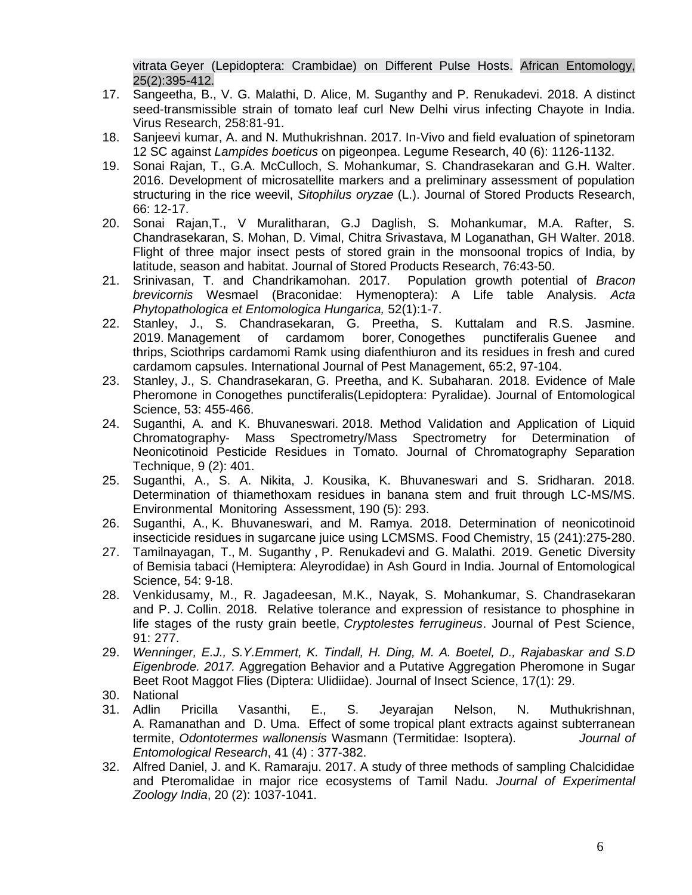vitrata Geyer (Lepidoptera: Crambidae) on Different Pulse Hosts. [African Entomology,](https://bioone.org/journals/african-entomology/volume-25/issue-2)  [25\(2\):](https://bioone.org/journals/african-entomology/volume-25/issue-2)395-412.

- 17. Sangeetha, B., V. G. Malathi, D. Alice, M. Suganthy and P. Renukadevi. 2018. [A distinct](https://www.ncbi.nlm.nih.gov/pubmed/30336187)  [seed-transmissible strain of tomato leaf curl New Delhi virus infecting Chayote in India.](https://www.ncbi.nlm.nih.gov/pubmed/30336187) Virus Research, 258:81-91.
- 18. Sanjeevi kumar, A. and N. Muthukrishnan. 2017. In-Vivo and field evaluation of spinetoram 12 SC against *Lampides boeticus* on pigeonpea. Legume Research, 40 (6): 1126-1132.
- 19. Sonai Rajan, T., G.A. McCulloch, S. Mohankumar, S. Chandrasekaran and G.H. Walter. 2016. Development of microsatellite markers and a preliminary assessment of population structuring in the rice weevil, *Sitophilus oryzae* (L.). Journal of Stored Products Research, 66: 12-17.
- 20. Sonai Rajan,T., V Muralitharan, G.J Daglish, S. Mohankumar, M.A. Rafter, S. Chandrasekaran, S. Mohan, D. Vimal, Chitra Srivastava, M Loganathan, GH Walter. 2018. [Flight of three major insect pests of stored grain in the monsoonal tropics of India, by](https://www.sciencedirect.com/science/article/pii/S0022474X17303387)  [latitude, season and habitat.](https://www.sciencedirect.com/science/article/pii/S0022474X17303387) Journal of Stored Products Research, 76:43-50.
- 21. Srinivasan, T. and Chandrikamohan. 2017. Population growth potential of *Bracon brevicornis* Wesmael (Braconidae: Hymenoptera): A Life table Analysis. *Acta Phytopathologica et Entomologica Hungarica,* 52(1):1-7.
- 22. Stanley, J., S. Chandrasekaran, G. Preetha, S. Kuttalam and R.S. Jasmine. 2019. Management of cardamom borer, Conogethes punctiferalis Guenee and thrips, Sciothrips cardamomi Ramk using diafenthiuron and its residues in fresh and cured cardamom capsules. International Journal of Pest Management, 65:2, 97-104.
- 23. Stanley, J., S. Chandrasekaran, G. Preetha, and K. Subaharan. 2018. Evidence of Male Pheromone in Conogethes punctiferalis(Lepidoptera: Pyralidae). Journal of Entomological Science, 53: 455-466.
- 24. Suganthi, A. and K. Bhuvaneswari. 2018. Method Validation and Application of Liquid Chromatography- Mass Spectrometry/Mass Spectrometry for Determination of Neonicotinoid Pesticide Residues in Tomato. Journal of Chromatography Separation Technique, 9 (2): 401.
- 25. Suganthi, A., S. A. Nikita, J. Kousika, K. Bhuvaneswari and S. Sridharan. 2018. Determination of thiamethoxam residues in banana stem and fruit through LC-MS/MS. Environmental Monitoring Assessment, 190 (5): 293.
- 26. Suganthi, A., K. Bhuvaneswari, and M. Ramya. 2018. Determination of neonicotinoid insecticide residues in sugarcane juice using LCMSMS. Food Chemistry, 15 (241):275-280.
- 27. [Tamilnayagan,](https://bioone.org/search?author=Thangavel_Tamilnayagan) T., [M. Suganthy](https://bioone.org/search?author=Mariappan_Suganthy) , [P. Renukadevi](https://bioone.org/search?author=Perumal_Renukadevi) and G. [Malathi. 2019.](https://bioone.org/search?author=Malathi_Ganesan) [Genetic Diversity](https://bioone.org/journals/journal-of-entomological-science/volume-54/issue-2/JES18-18/Genetic-Diversity-of-Bemisia-tabaci-Hemiptera--Aleyrodidae-in-Ash/10.18474/JES18-18.full)  of Bemisia tabaci [\(Hemiptera: Aleyrodidae\) in Ash Gourd in India.](https://bioone.org/journals/journal-of-entomological-science/volume-54/issue-2/JES18-18/Genetic-Diversity-of-Bemisia-tabaci-Hemiptera--Aleyrodidae-in-Ash/10.18474/JES18-18.full) Journal of Entomological Science, 54: 9-18.
- 28. Venkidusamy, M., R. Jagadeesan, M.K., Nayak, S. Mohankumar, S. Chandrasekaran and P. J. Collin. 2018. Relative tolerance and expression of resistance to phosphine in life stages of the rusty grain beetle, *Cryptolestes ferrugineus*. Journal of Pest Science, 91: 277.
- 29. *Wenninger, E.J., S.Y.Emmert, K. Tindall, H. Ding, M. A. Boetel, D., Rajabaskar and S.D Eigenbrode. 2017.* Aggregation Behavior and a Putative Aggregation Pheromone in Sugar Beet Root Maggot Flies (Diptera: Ulidiidae). Journal of Insect Science, 17(1): 29.
- 30. National
- 31. Adlin Pricilla Vasanthi, E., S. Jeyarajan Nelson, N. Muthukrishnan, A. Ramanathan and D. Uma. Effect of some tropical plant extracts against subterranean termite, *Odontotermes wallonensis* Wasmann (Termitidae: Isoptera). *Journal of Entomological Research*, 41 (4) : 377-382.
- 32. Alfred Daniel, J. and K. Ramaraju. 2017. A study of three methods of sampling Chalcididae and Pteromalidae in major rice ecosystems of Tamil Nadu. *Journal of Experimental Zoology India*, 20 (2): 1037-1041.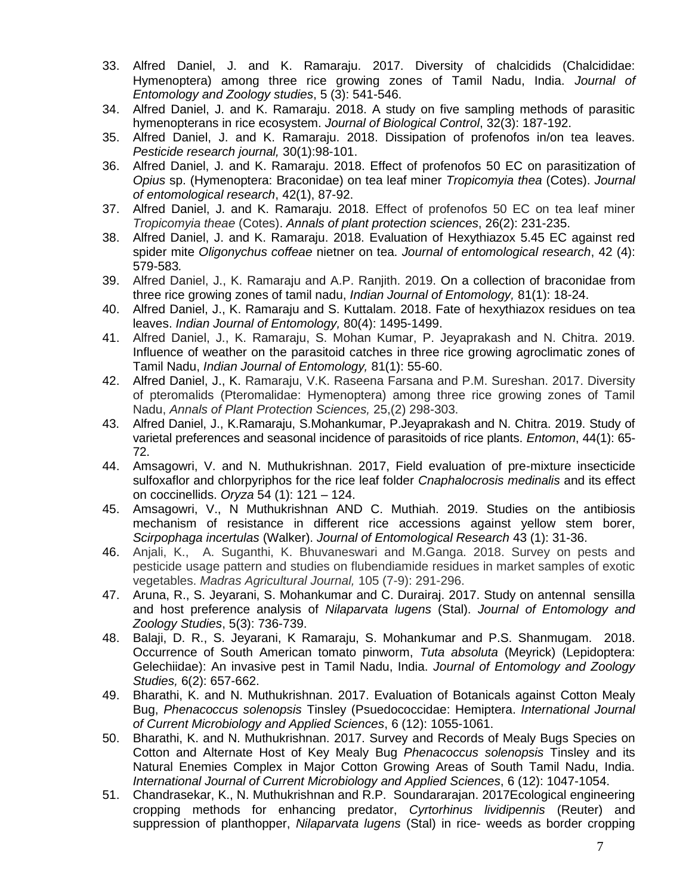- 33. Alfred Daniel, J. and K. Ramaraju. 2017. Diversity of chalcidids (Chalcididae: Hymenoptera) among three rice growing zones of Tamil Nadu, India. *Journal of Entomology and Zoology studies*, 5 (3): 541-546.
- 34. Alfred Daniel, J. and K. Ramaraju. 2018. A study on five sampling methods of parasitic hymenopterans in rice ecosystem. *Journal of Biological Control*, 32(3): 187-192.
- 35. Alfred Daniel, J. and K. Ramaraju. 2018. Dissipation of profenofos in/on tea leaves. *Pesticide research journal,* 30(1):98-101.
- 36. Alfred Daniel, J. and K. Ramaraju. 2018. Effect of profenofos 50 EC on parasitization of *Opius* sp. (Hymenoptera: Braconidae) on tea leaf miner *Tropicomyia thea* (Cotes). *Journal of entomological research*, 42(1), 87-92.
- 37. Alfred Daniel, J. and K. Ramaraju. 2018. Effect of profenofos 50 EC on tea leaf miner *Tropicomyia theae* (Cotes). *Annals of plant protection sciences*, 26(2): 231-235.
- 38. Alfred Daniel, J. and K. Ramaraju. 2018. Evaluation of Hexythiazox 5.45 EC against red spider mite *Oligonychus coffeae* nietner on tea. *Journal of entomological research*, 42 (4): 579-583*.*
- 39. Alfred Daniel, J., K. Ramaraju and A.P. Ranjith. 2019. On a collection of braconidae from three rice growing zones of tamil nadu, *Indian Journal of Entomology,* 81(1): 18-24.
- 40. Alfred Daniel, J., K. Ramaraju and S. Kuttalam. 2018. Fate of hexythiazox residues on tea leaves. *Indian Journal of Entomology,* 80(4): 1495-1499.
- 41. Alfred Daniel, J., K. Ramaraju, S. Mohan Kumar, P. Jeyaprakash and N. Chitra. 2019. Influence of weather on the parasitoid catches in three rice growing agroclimatic zones of Tamil Nadu, *Indian Journal of Entomology,* 81(1): 55-60.
- 42. Alfred Daniel, J., K. Ramaraju, V.K. Raseena Farsana and P.M. Sureshan. 2017. Diversity of pteromalids (Pteromalidae: Hymenoptera) among three rice growing zones of Tamil Nadu, *Annals of Plant Protection Sciences,* 25,(2) 298-303.
- 43. Alfred Daniel, J., K.Ramaraju, S.Mohankumar, P.Jeyaprakash and N. Chitra. 2019. Study of varietal preferences and seasonal incidence of parasitoids of rice plants. *Entomon*, 44(1): 65- 72.
- 44. Amsagowri, V. and N. Muthukrishnan. 2017, Field evaluation of pre-mixture insecticide sulfoxaflor and chlorpyriphos for the rice leaf folder *Cnaphalocrosis medinalis* and its effect on coccinellids. *Oryza* 54 (1): 121 – 124.
- 45. Amsagowri, V., N Muthukrishnan AND C. Muthiah. 2019. [Studies on the antibiosis](https://www.researchgate.net/profile/Muthukrishnan_N2/publication/332464424_Studies_on_the_antibiosis_mechanism_of_resistance_in_different_rice_accessions_against_yellow_stem_borer_Scirpophaga_incertulas_Walker_-_2019/links/5cb6bedb4585156cd79db337/Studies-on-the-antibiosis-mechanism-of-resistance-in-different-rice-accessions-against-yellow-stem-borer-Scirpophaga-incertulas-Walker-2019.pdf)  [mechanism of resistance in different rice accessions against yellow stem borer,](https://www.researchgate.net/profile/Muthukrishnan_N2/publication/332464424_Studies_on_the_antibiosis_mechanism_of_resistance_in_different_rice_accessions_against_yellow_stem_borer_Scirpophaga_incertulas_Walker_-_2019/links/5cb6bedb4585156cd79db337/Studies-on-the-antibiosis-mechanism-of-resistance-in-different-rice-accessions-against-yellow-stem-borer-Scirpophaga-incertulas-Walker-2019.pdf)  *[Scirpophaga](https://www.researchgate.net/profile/Muthukrishnan_N2/publication/332464424_Studies_on_the_antibiosis_mechanism_of_resistance_in_different_rice_accessions_against_yellow_stem_borer_Scirpophaga_incertulas_Walker_-_2019/links/5cb6bedb4585156cd79db337/Studies-on-the-antibiosis-mechanism-of-resistance-in-different-rice-accessions-against-yellow-stem-borer-Scirpophaga-incertulas-Walker-2019.pdf) incertulas* (Walker). *Journal of Entomological Research* 43 (1): 31-36.
- 46. Anjali, K., A. Suganthi, K. Bhuvaneswari and M.Ganga. 2018. Survey on pests and pesticide usage pattern and studies on flubendiamide residues in market samples of exotic vegetables. *Madras Agricultural Journal,* 105 (7-9): 291-296.
- 47. Aruna, R., S. Jeyarani, S. Mohankumar and C. Durairaj. 2017. Study on antennal sensilla and host preference analysis of *Nilaparvata lugens* (Stal). *Journal of Entomology and Zoology Studies*, 5(3): 736-739.
- 48. Balaji, D. R., S. Jeyarani, K Ramaraju, S. Mohankumar and P.S. Shanmugam. 2018. Occurrence of South American tomato pinworm, *Tuta absoluta* (Meyrick) (Lepidoptera: Gelechiidae): An invasive pest in Tamil Nadu, India. *Journal of Entomology and Zoology Studies,* 6(2): 657-662.
- 49. Bharathi, K. and N. Muthukrishnan. 2017. Evaluation of Botanicals against Cotton Mealy Bug, *Phenacoccus solenopsis* Tinsley (Psuedococcidae: Hemiptera. *International Journal of Current Microbiology and Applied Sciences*, 6 (12): 1055-1061.
- 50. Bharathi, K. and N. Muthukrishnan. 2017. Survey and Records of Mealy Bugs Species on Cotton and Alternate Host of Key Mealy Bug *Phenacoccus solenopsis* Tinsley and its Natural Enemies Complex in Major Cotton Growing Areas of South Tamil Nadu, India. *International Journal of Current Microbiology and Applied Sciences*, 6 (12): 1047-1054.
- 51. Chandrasekar, K., N. Muthukrishnan and R.P. Soundararajan. 2017Ecological engineering cropping methods for enhancing predator, *Cyrtorhinus lividipennis* (Reuter) and suppression of planthopper, *Nilaparvata lugens* (Stal) in rice- weeds as border cropping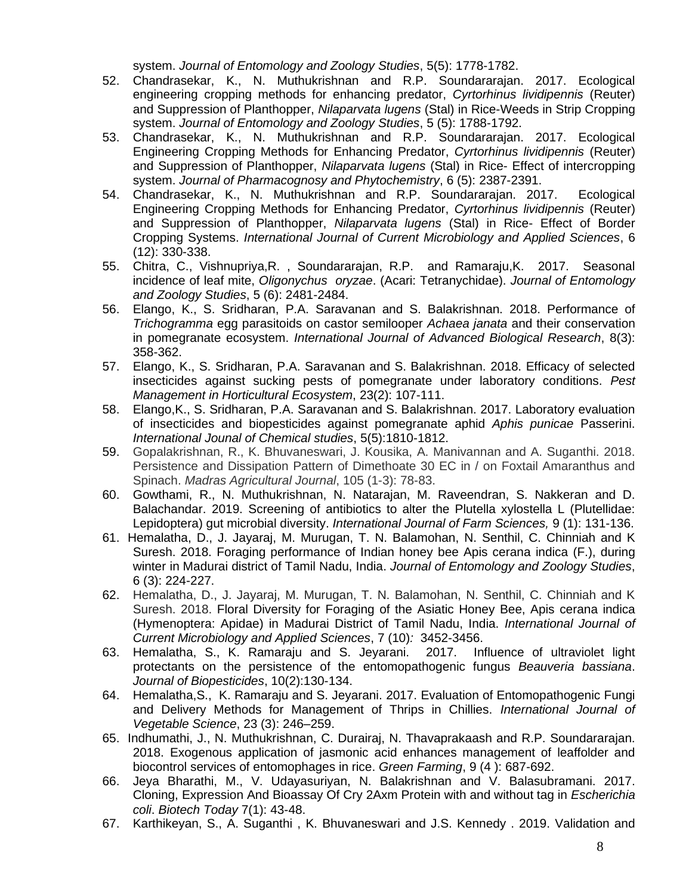system. *Journal of Entomology and Zoology Studies*, 5(5): 1778-1782.

- 52. Chandrasekar, K., N. Muthukrishnan and R.P. Soundararajan. 2017. Ecological engineering cropping methods for enhancing predator, *Cyrtorhinus lividipennis* (Reuter) and Suppression of Planthopper, *Nilaparvata lugens* (Stal) in Rice-Weeds in Strip Cropping system. *Journal of Entomology and Zoology Studies*, 5 (5): 1788-1792.
- 53. Chandrasekar, K., N. Muthukrishnan and R.P. Soundararajan. 2017. Ecological Engineering Cropping Methods for Enhancing Predator, *Cyrtorhinus lividipennis* (Reuter) and Suppression of Planthopper, *Nilaparvata lugens* (Stal) in Rice- Effect of intercropping system. *Journal of Pharmacognosy and Phytochemistry*, 6 (5): 2387-2391.
- 54. Chandrasekar, K., N. Muthukrishnan and R.P. Soundararajan. 2017. Ecological Engineering Cropping Methods for Enhancing Predator, *Cyrtorhinus lividipennis* (Reuter) and Suppression of Planthopper, *Nilaparvata lugens* (Stal) in Rice- Effect of Border Cropping Systems. *International Journal of Current Microbiology and Applied Sciences*, 6 (12): 330-338.
- 55. Chitra, C., Vishnupriya,R. , Soundararajan, R.P. and Ramaraju,K. 2017. Seasonal incidence of leaf mite, *Oligonychus oryzae*. (Acari: Tetranychidae). *Journal of Entomology and Zoology Studies*, 5 (6): 2481-2484.
- 56. Elango, K., S. Sridharan, P.A. Saravanan and S. Balakrishnan. 2018. Performance of *Trichogramma* egg parasitoids on castor semilooper *Achaea janata* and their conservation in pomegranate ecosystem. *International Journal of Advanced Biological Research*, 8(3): 358-362.
- 57. Elango, K., S. Sridharan, P.A. Saravanan and S. Balakrishnan. 2018. Efficacy of selected insecticides against sucking pests of pomegranate under laboratory conditions. *Pest Management in Horticultural Ecosystem*, 23(2): 107-111.
- 58. Elango,K., S. Sridharan, P.A. Saravanan and S. Balakrishnan. 2017. Laboratory evaluation of insecticides and biopesticides against pomegranate aphid *Aphis punicae* Passerini. *International Jounal of Chemical studies*, 5(5):1810-1812.
- 59. Gopalakrishnan, R., K. Bhuvaneswari, J. Kousika, A. Manivannan and A. Suganthi. 2018. Persistence and Dissipation Pattern of Dimethoate 30 EC in / on Foxtail Amaranthus and Spinach. *Madras Agricultural Journal*, 105 (1-3): 78-83.
- 60. Gowthami, R., N. Muthukrishnan, N. Natarajan, M. Raveendran, S. Nakkeran and D. Balachandar. 2019. [Screening of antibiotics to alter the Plutella xylostella L \(Plutellidae:](https://www.researchgate.net/profile/Muthukrishnan_N2/publication/331403703_Screening_of_antibiotics_to_alter_the_Plutella_xylostella_L_Plutellidae_Lepidoptera_gut_microbial_diversity_-_2019/links/5cb6c17f4585156cd79db3bc/Screening-of-antibiotics-to-alter-the-Plutella-xylostella-L-Plutellidae-Lepidoptera-gut-microbial-diversity-2019.pdf)  [Lepidoptera\) gut microbial diversity.](https://www.researchgate.net/profile/Muthukrishnan_N2/publication/331403703_Screening_of_antibiotics_to_alter_the_Plutella_xylostella_L_Plutellidae_Lepidoptera_gut_microbial_diversity_-_2019/links/5cb6c17f4585156cd79db3bc/Screening-of-antibiotics-to-alter-the-Plutella-xylostella-L-Plutellidae-Lepidoptera-gut-microbial-diversity-2019.pdf) *International Journal of Farm Sciences,* 9 (1): 131-136.
- 61. Hemalatha, D., J. Jayaraj, M. Murugan, T. N. Balamohan, N. Senthil, C. Chinniah and K Suresh. 2018. [Foraging performance of Indian honey bee Apis cerana indica \(F.\), during](http://www.entomoljournal.com/archives/2018/vol6issue3/PartD/6-2-177-968.pdf)  [winter in Madurai district of Tamil Nadu, India.](http://www.entomoljournal.com/archives/2018/vol6issue3/PartD/6-2-177-968.pdf) *Journal of Entomology and Zoology Studies*, 6 (3): 224-227.
- 62. Hemalatha, D., J. Jayaraj, M. Murugan, T. N. Balamohan, N. Senthil, C. Chinniah and K Suresh. 2018. Floral Diversity for Foraging of the Asiatic Honey Bee, Apis cerana indica (Hymenoptera: Apidae) in Madurai District of Tamil Nadu, India. *International Journal of Current Microbiology and Applied Sciences*, 7 (10)*:* 3452-3456.
- 63. Hemalatha, S., K. Ramaraju and S. Jeyarani. 2017. Influence of ultraviolet light protectants on the persistence of the entomopathogenic fungus *Beauveria bassiana*. *Journal of Biopesticides*, 10(2):130-134.
- 64. Hemalatha,S., K. Ramaraju and S. Jeyarani. 2017. Evaluation of Entomopathogenic Fungi and Delivery Methods for Management of Thrips in Chillies. *International Journal of Vegetable Science*, 23 (3): 246–259.
- 65. Indhumathi, J., N. Muthukrishnan, C. Durairaj, N. Thavaprakaash and R.P. Soundararajan. 2018. Exogenous application of jasmonic acid enhances management of leaffolder and biocontrol services of entomophages in rice. *Green Farming*, 9 (4 ): 687-692.
- 66. Jeya Bharathi, M., V. Udayasuriyan, N. Balakrishnan and V. Balasubramani. 2017. Cloning, Expression And Bioassay Of Cry 2Axm Protein with and without tag in *Escherichia coli*. *Biotech Today* 7(1): 43-48.
- 67. Karthikeyan, S., A. Suganthi , K. Bhuvaneswari and J.S. Kennedy . 2019. Validation and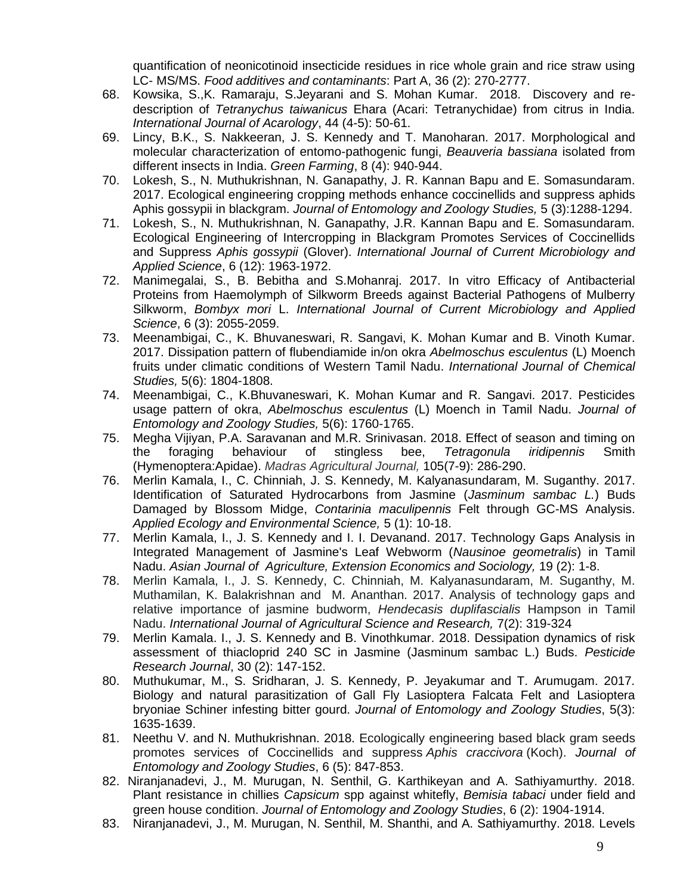quantification of neonicotinoid insecticide residues in rice whole grain and rice straw using LC- MS/MS. *Food additives and contaminants*: Part A, 36 (2): 270-2777.

- 68. Kowsika, S.,K. Ramaraju, S.Jeyarani and S. Mohan Kumar. 2018. Discovery and redescription of *Tetranychus taiwanicus* Ehara (Acari: Tetranychidae) from citrus in India. *International Journal of Acarology*, 44 (4-5): 50-61.
- 69. Lincy, B.K., S. Nakkeeran, J. S. Kennedy and T. Manoharan. 2017. Morphological and molecular characterization of entomo-pathogenic fungi, *Beauveria bassiana* isolated from different insects in India. *Green Farming*, 8 (4): 940-944.
- 70. Lokesh, S., N. Muthukrishnan, N. Ganapathy, J. R. Kannan Bapu and E. Somasundaram. 2017. Ecological engineering cropping methods enhance coccinellids and suppress aphids Aphis gossypii in blackgram. *Journal of Entomology and Zoology Studies,* 5 (3):1288-1294.
- 71. Lokesh, S., N. Muthukrishnan, N. Ganapathy, J.R. Kannan Bapu and E. Somasundaram. Ecological Engineering of Intercropping in Blackgram Promotes Services of Coccinellids and Suppress *Aphis gossypii* (Glover). *International Journal of Current Microbiology and Applied Science*, 6 (12): 1963-1972.
- 72. Manimegalai, S., B. Bebitha and S.Mohanraj. 2017. In vitro Efficacy of Antibacterial Proteins from Haemolymph of Silkworm Breeds against Bacterial Pathogens of Mulberry Silkworm, *Bombyx mori* L. *International Journal of Current Microbiology and Applied Science*, 6 (3): 2055-2059.
- 73. Meenambigai, C., K. Bhuvaneswari, R. Sangavi, K. Mohan Kumar and B. Vinoth Kumar. 2017. Dissipation pattern of flubendiamide in/on okra *Abelmoschus esculentus* (L) Moench fruits under climatic conditions of Western Tamil Nadu. *International Journal of Chemical Studies,* 5(6): 1804-1808.
- 74. Meenambigai, C., K.Bhuvaneswari, K. Mohan Kumar and R. Sangavi. 2017. Pesticides usage pattern of okra, *Abelmoschus esculentus* (L) Moench in Tamil Nadu. *Journal of Entomology and Zoology Studies,* 5(6): 1760-1765.
- 75. Megha Vijiyan, P.A. Saravanan and M.R. Srinivasan. 2018. Effect of season and timing on the foraging behaviour of stingless bee, *Tetragonula iridipennis* Smith (Hymenoptera:Apidae). *Madras Agricultural Journal,* 105(7-9): 286-290.
- 76. Merlin Kamala, I., C. Chinniah, J. S. Kennedy, M. Kalyanasundaram, M. Suganthy. 2017. Identification of Saturated Hydrocarbons from Jasmine (*Jasminum sambac L.*) Buds Damaged by Blossom Midge, *Contarinia maculipennis* Felt through GC-MS Analysis. *Applied Ecology and Environmental Science,* 5 (1): 10-18.
- 77. Merlin Kamala, I., J. S. Kennedy and I. I. Devanand. 2017. Technology Gaps Analysis in Integrated Management of Jasmine's Leaf Webworm (*Nausinoe geometralis*) in Tamil Nadu. *Asian Journal of Agriculture, Extension Economics and Sociology,* 19 (2): 1-8.
- 78. Merlin Kamala, I., J. S. Kennedy, C. Chinniah, M. Kalyanasundaram, M. Suganthy, M. Muthamilan, K. Balakrishnan and M. Ananthan. 2017. Analysis of technology gaps and relative importance of jasmine budworm, *Hendecasis duplifascialis* Hampson in Tamil Nadu. *International Journal of Agricultural Science and Research,* 7(2): 319-324
- 79. Merlin Kamala. I., J. S. Kennedy and B. Vinothkumar. 2018. Dessipation dynamics of risk assessment of thiacloprid 240 SC in Jasmine (Jasminum sambac L.) Buds. *Pesticide Research Journal*, 30 (2): 147-152.
- 80. Muthukumar, M., S. Sridharan, J. S. Kennedy, P. Jeyakumar and T. Arumugam. 2017. Biology and natural parasitization of Gall Fly Lasioptera Falcata Felt and Lasioptera bryoniae Schiner infesting bitter gourd. *Journal of Entomology and Zoology Studies*, 5(3): 1635-1639.
- 81. Neethu V. and N. Muthukrishnan. 2018. Ecologically engineering based black gram seeds promotes services of Coccinellids and suppress *Aphis craccivora* (Koch). *Journal of Entomology and Zoology Studies*, 6 (5): 847-853.
- 82. Niranjanadevi, J., M. Murugan, N. Senthil, G. Karthikeyan and A. Sathiyamurthy. 2018. Plant resistance in chillies *Capsicum* spp against whitefly, *Bemisia tabaci* under field and green house condition. *Journal of Entomology and Zoology Studies*, 6 (2): 1904-1914.
- 83. Niranjanadevi, J., M. Murugan, N. Senthil, M. Shanthi, and A. Sathiyamurthy. 2018. Levels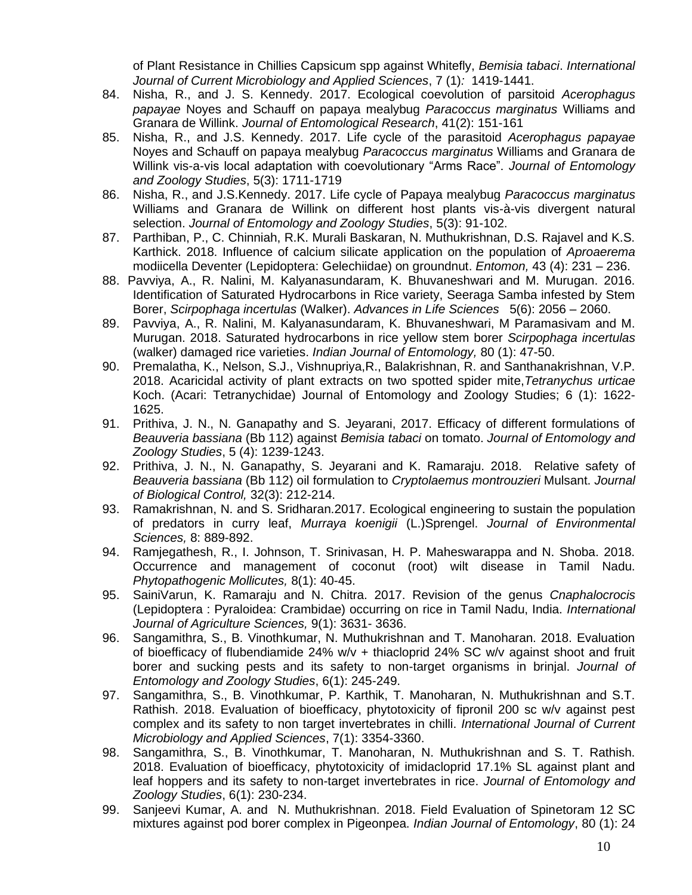of Plant Resistance in Chillies Capsicum spp against Whitefly, *Bemisia tabaci*. *International Journal of Current Microbiology and Applied Sciences*, 7 (1)*:* 1419-1441.

- 84. Nisha, R., and J. S. Kennedy. 2017. Ecological coevolution of parsitoid *Acerophagus papayae* Noyes and Schauff on papaya mealybug *Paracoccus marginatus* Williams and Granara de Willink. *Journal of Entomological Research*, 41(2): 151-161
- 85. Nisha, R., and J.S. Kennedy. 2017. Life cycle of the parasitoid *Acerophagus papayae* Noyes and Schauff on papaya mealybug *Paracoccus marginatus* Williams and Granara de Willink vis-a-vis local adaptation with coevolutionary "Arms Race". *Journal of Entomology and Zoology Studies*, 5(3): 1711-1719
- 86. Nisha, R., and J.S.Kennedy. 2017. Life cycle of Papaya mealybug *Paracoccus marginatus* Williams and Granara de Willink on different host plants vis-à-vis divergent natural selection. *Journal of Entomology and Zoology Studies*, 5(3): 91-102.
- 87. Parthiban, P., C. Chinniah, R.K. Murali Baskaran, N. Muthukrishnan, D.S. Rajavel and K.S. Karthick. 2018. [Influence of calcium silicate application on the population of](https://www.researchgate.net/profile/Heera_Pillai2/publication/330242903_Entomon_434/links/5c358bc7299bf12be3b8fb53/Entomon-434.pdf#page=13) *Aproaerema* [modiicella Deventer \(Lepidoptera: Gelechiidae\) on groundnut.](https://www.researchgate.net/profile/Heera_Pillai2/publication/330242903_Entomon_434/links/5c358bc7299bf12be3b8fb53/Entomon-434.pdf#page=13) *Entomon,* 43 (4): 231 – 236.
- 88. Pavviya, A., R. Nalini, M. Kalyanasundaram, K. Bhuvaneshwari and M. Murugan. 2016. Identification of Saturated Hydrocarbons in Rice variety, Seeraga Samba infested by Stem Borer, *Scirpophaga incertulas* (Walker). *Advances in Life Sciences* 5(6): 2056 – 2060.
- 89. Pavviya, A., R. Nalini, M. Kalyanasundaram, K. Bhuvaneshwari, M Paramasivam and M. Murugan. 2018. [Saturated hydrocarbons in rice yellow stem borer](http://www.indianjournals.com/ijor.aspx?target=ijor:ije&volume=80&issue=1&article=010) *Scirpophaga incertulas* [\(walker\) damaged rice varieties.](http://www.indianjournals.com/ijor.aspx?target=ijor:ije&volume=80&issue=1&article=010) *Indian Journal of Entomology,* 80 (1): 47-50.
- 90. Premalatha, K., Nelson, S.J., Vishnupriya,R., Balakrishnan, R. and Santhanakrishnan, V.P. 2018. Acaricidal activity of plant extracts on two spotted spider mite,*Tetranychus urticae* Koch. (Acari: Tetranychidae) Journal of Entomology and Zoology Studies; 6 (1): 1622- 1625.
- 91. Prithiva, J. N., N. Ganapathy and S. Jeyarani, 2017. Efficacy of different formulations of *Beauveria bassiana* (Bb 112) against *Bemisia tabaci* on tomato. *Journal of Entomology and Zoology Studies*, 5 (4): 1239-1243.
- 92. Prithiva, J. N., N. Ganapathy, S. Jeyarani and K. Ramaraju. 2018. Relative safety of *Beauveria bassiana* (Bb 112) oil formulation to *Cryptolaemus montrouzieri* Mulsant. *Journal of Biological Control,* 32(3): 212-214.
- 93. Ramakrishnan, N. and S. Sridharan.2017. Ecological engineering to sustain the population of predators in curry leaf, *Murraya koenigii* (L.)Sprengel. *Journal of Environmental Sciences,* 8: 889-892.
- 94. Ramjegathesh, R., I. Johnson, T. Srinivasan, H. P. Maheswarappa and N. Shoba. 2018. Occurrence and management of coconut (root) wilt disease in Tamil Nadu. *Phytopathogenic Mollicutes,* 8(1): 40-45.
- 95. SainiVarun, K. Ramaraju and N. Chitra. 2017. Revision of the genus *Cnaphalocrocis* (Lepidoptera : Pyraloidea: Crambidae) occurring on rice in Tamil Nadu, India. *International Journal of Agriculture Sciences,* 9(1): 3631- 3636.
- 96. Sangamithra, S., B. Vinothkumar, N. Muthukrishnan and T. Manoharan. 2018. Evaluation of bioefficacy of flubendiamide 24%  $w/v$  + thiacloprid 24% SC  $w/v$  against shoot and fruit borer and sucking pests and its safety to non-target organisms in brinjal. *Journal of Entomology and Zoology Studies*, 6(1): 245-249.
- 97. Sangamithra, S., B. Vinothkumar, P. Karthik, T. Manoharan, N. Muthukrishnan and S.T. Rathish. 2018. Evaluation of bioefficacy, phytotoxicity of fipronil 200 sc w/v against pest complex and its safety to non target invertebrates in chilli. *International Journal of Current Microbiology and Applied Sciences*, 7(1): 3354-3360.
- 98. Sangamithra, S., B. Vinothkumar, T. Manoharan, N. Muthukrishnan and S. T. Rathish. 2018. Evaluation of bioefficacy, phytotoxicity of imidacloprid 17.1% SL against plant and leaf hoppers and its safety to non-target invertebrates in rice. *Journal of Entomology and Zoology Studies*, 6(1): 230-234.
- 99. Sanjeevi Kumar, A. and N. Muthukrishnan. 2018. Field Evaluation of Spinetoram 12 SC mixtures against pod borer complex in Pigeonpea. *Indian Journal of Entomology*, 80 (1): 24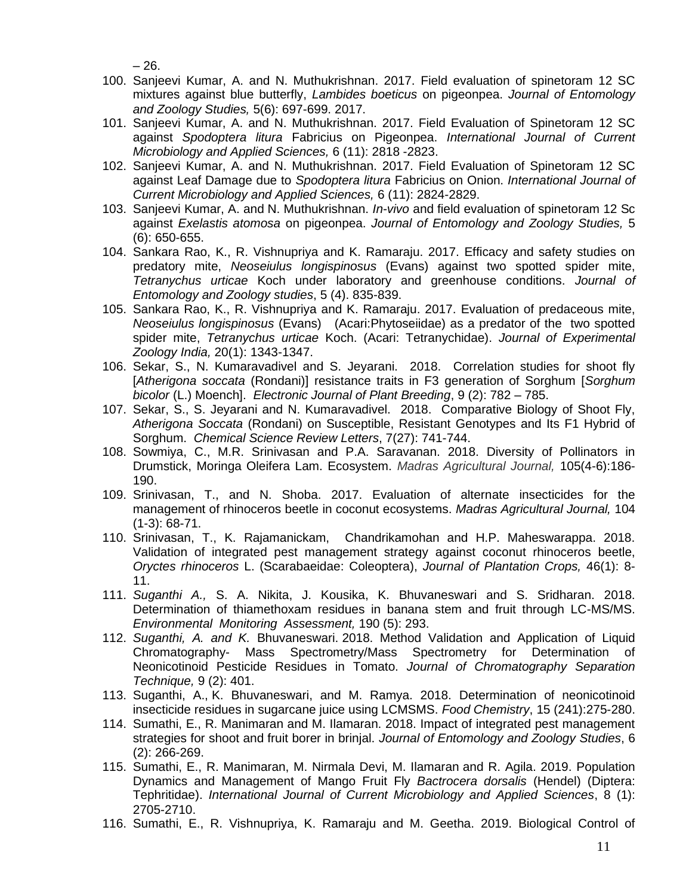– 26.

- 100. Sanjeevi Kumar, A. and N. Muthukrishnan. 2017. Field evaluation of spinetoram 12 SC mixtures against blue butterfly, *Lambides boeticus* on pigeonpea. *Journal of Entomology and Zoology Studies,* 5(6): 697-699. 2017.
- 101. Sanjeevi Kumar, A. and N. Muthukrishnan. 2017. Field Evaluation of Spinetoram 12 SC against *Spodoptera litura* Fabricius on Pigeonpea. *International Journal of Current Microbiology and Applied Sciences,* 6 (11): 2818 -2823.
- 102. Sanjeevi Kumar, A. and N. Muthukrishnan. 2017. Field Evaluation of Spinetoram 12 SC against Leaf Damage due to *Spodoptera litura* Fabricius on Onion. *International Journal of Current Microbiology and Applied Sciences,* 6 (11): 2824-2829.
- 103. Sanjeevi Kumar, A. and N. Muthukrishnan. *In-vivo* and field evaluation of spinetoram 12 Sc against *Exelastis atomosa* on pigeonpea. *Journal of Entomology and Zoology Studies,* 5 (6): 650-655.
- 104. Sankara Rao, K., R. Vishnupriya and K. Ramaraju. 2017. Efficacy and safety studies on predatory mite, *Neoseiulus longispinosus* (Evans) against two spotted spider mite, *Tetranychus urticae* Koch under laboratory and greenhouse conditions. *Journal of Entomology and Zoology studies*, 5 (4). 835-839.
- 105. Sankara Rao, K., R. Vishnupriya and K. Ramaraju. 2017. Evaluation of predaceous mite, *Neoseiulus longispinosus* (Evans) (Acari:Phytoseiidae) as a predator of the two spotted spider mite, *Tetranychus urticae* Koch. (Acari: Tetranychidae). *Journal of Experimental Zoology India,* 20(1): 1343-1347.
- 106. Sekar, S., N. Kumaravadivel and S. Jeyarani. 2018. Correlation studies for shoot fly [*Atherigona soccata* (Rondani)] resistance traits in F3 generation of Sorghum [*Sorghum bicolor* (L.) Moench]. *Electronic Journal of Plant Breeding*, 9 (2): 782 – 785.
- 107. Sekar, S., S. Jeyarani and N. Kumaravadivel. 2018. Comparative Biology of Shoot Fly, *Atherigona Soccata* (Rondani) on Susceptible, Resistant Genotypes and Its F1 Hybrid of Sorghum. *Chemical Science Review Letters*, 7(27): 741-744.
- 108. Sowmiya, C., M.R. Srinivasan and P.A. Saravanan. 2018. Diversity of Pollinators in Drumstick, Moringa Oleifera Lam. Ecosystem. *Madras Agricultural Journal,* 105(4-6):186- 190.
- 109. Srinivasan, T., and N. Shoba. 2017. Evaluation of alternate insecticides for the management of rhinoceros beetle in coconut ecosystems. *Madras Agricultural Journal,* 104 (1-3): 68-71.
- 110. Srinivasan, T., K. Rajamanickam, Chandrikamohan and H.P. Maheswarappa. 2018. Validation of integrated pest management strategy against coconut rhinoceros beetle, *Oryctes rhinoceros* L. (Scarabaeidae: Coleoptera), *Journal of Plantation Crops,* 46(1): 8- 11.
- 111. *Suganthi A.,* S. A. Nikita, J. Kousika, K. Bhuvaneswari and S. Sridharan. 2018. Determination of thiamethoxam residues in banana stem and fruit through LC-MS/MS. *Environmental Monitoring Assessment,* 190 (5): 293.
- 112. *Suganthi, A. and K.* Bhuvaneswari. 2018. Method Validation and Application of Liquid Chromatography- Mass Spectrometry/Mass Spectrometry for Determination of Neonicotinoid Pesticide Residues in Tomato. *Journal of Chromatography Separation Technique,* 9 (2): 401.
- 113. Suganthi, A., K. Bhuvaneswari, and M. Ramya. 2018. Determination of neonicotinoid insecticide residues in sugarcane juice using LCMSMS. *Food Chemistry*, 15 (241):275-280.
- 114. Sumathi, E., R. Manimaran and M. Ilamaran. 2018. Impact of integrated pest management strategies for shoot and fruit borer in brinjal. *Journal of Entomology and Zoology Studies*, 6 (2): 266-269.
- 115. Sumathi, E., R. Manimaran, M. Nirmala Devi, M. Ilamaran and R. Agila. 2019. Population Dynamics and Management of Mango Fruit Fly *Bactrocera dorsalis* (Hendel) (Diptera: Tephritidae). *International Journal of Current Microbiology and Applied Sciences*, 8 (1): 2705-2710.
- 116. Sumathi, E., R. Vishnupriya, K. Ramaraju and M. Geetha. 2019. Biological Control of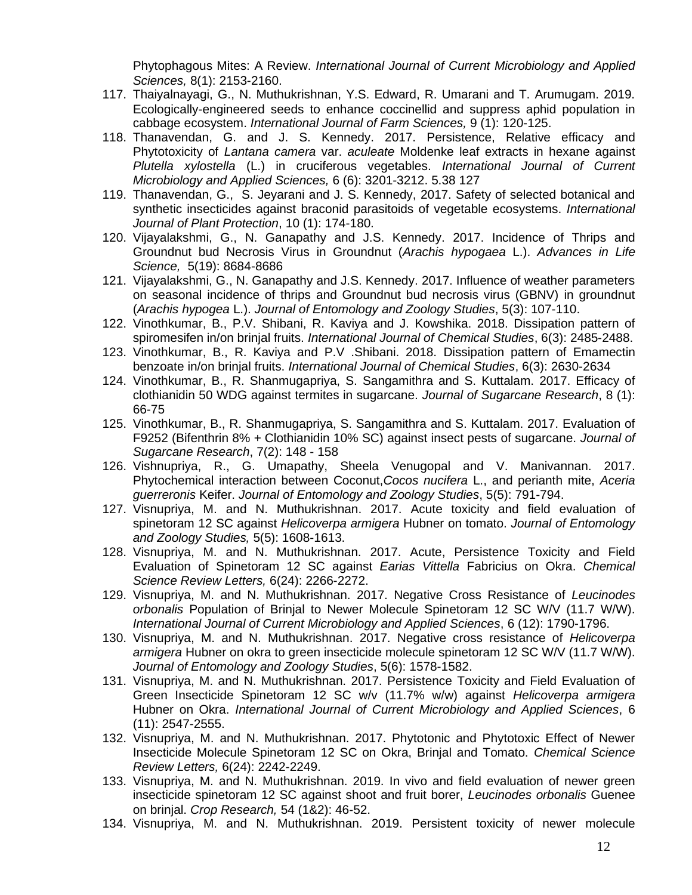Phytophagous Mites: A Review. *International Journal of Current Microbiology and Applied Sciences,* 8(1): 2153-2160.

- 117. Thaiyalnayagi, G., N. Muthukrishnan, Y.S. Edward, R. Umarani and T. Arumugam. 2019. [Ecologically-engineered seeds to enhance coccinellid and suppress aphid population in](https://www.researchgate.net/profile/Muthukrishnan_N2/publication/331401880_Ecologically-engineered_seeds_to_enhance_coccinellid_and_suppress_aphid_population_in_cabbage_ecosystem_-_2019/links/5cb6c120a6fdcc1d499a413d/Ecologically-engineered-seeds-to-enhance-coccinellid-and-suppress-aphid-population-in-cabbage-ecosystem-2019.pdf)  [cabbage ecosystem.](https://www.researchgate.net/profile/Muthukrishnan_N2/publication/331401880_Ecologically-engineered_seeds_to_enhance_coccinellid_and_suppress_aphid_population_in_cabbage_ecosystem_-_2019/links/5cb6c120a6fdcc1d499a413d/Ecologically-engineered-seeds-to-enhance-coccinellid-and-suppress-aphid-population-in-cabbage-ecosystem-2019.pdf) *International Journal of Farm Sciences,* 9 (1): 120-125.
- 118. Thanavendan, G. and J. S. Kennedy. 2017. Persistence, Relative efficacy and Phytotoxicity of *Lantana camera* var. *aculeate* Moldenke leaf extracts in hexane against *Plutella xylostella* (L.) in cruciferous vegetables. *International Journal of Current Microbiology and Applied Sciences,* 6 (6): 3201-3212. 5.38 127
- 119. Thanavendan, G., S. Jeyarani and J. S. Kennedy, 2017. Safety of selected botanical and synthetic insecticides against braconid parasitoids of vegetable ecosystems. *International Journal of Plant Protection*, 10 (1): 174-180.
- 120. Vijayalakshmi, G., N. Ganapathy and J.S. Kennedy. 2017. Incidence of Thrips and Groundnut bud Necrosis Virus in Groundnut (*Arachis hypogaea* L.). *Advances in Life Science,* 5(19): 8684-8686
- 121. Vijayalakshmi, G., N. Ganapathy and J.S. Kennedy. 2017. Influence of weather parameters on seasonal incidence of thrips and Groundnut bud necrosis virus (GBNV) in groundnut (*Arachis hypogea* L.). *Journal of Entomology and Zoology Studies*, 5(3): 107-110.
- 122. Vinothkumar, B., P.V. Shibani, R. Kaviya and J. Kowshika. 2018. Dissipation pattern of spiromesifen in/on brinjal fruits. *International Journal of Chemical Studies*, 6(3): 2485-2488.
- 123. Vinothkumar, B., R. Kaviya and P.V .Shibani. 2018. Dissipation pattern of Emamectin benzoate in/on brinjal fruits. *International Journal of Chemical Studies*, 6(3): 2630-2634
- 124. Vinothkumar, B., R. Shanmugapriya, S. Sangamithra and S. Kuttalam. 2017. Efficacy of clothianidin 50 WDG against termites in sugarcane. *Journal of Sugarcane Research*, 8 (1): 66-75
- 125. Vinothkumar, B., R. Shanmugapriya, S. Sangamithra and S. Kuttalam. 2017. Evaluation of F9252 (Bifenthrin 8% + Clothianidin 10% SC) against insect pests of sugarcane. *Journal of Sugarcane Research*, 7(2): 148 - 158
- 126. Vishnupriya, R., G. Umapathy, Sheela Venugopal and V. Manivannan. 2017. Phytochemical interaction between Coconut,*Cocos nucifera* L., and perianth mite, *Aceria guerreronis* Keifer. *Journal of Entomology and Zoology Studies*, 5(5): 791-794.
- 127. Visnupriya, M. and N. Muthukrishnan. 2017. Acute toxicity and field evaluation of spinetoram 12 SC against *Helicoverpa armigera* Hubner on tomato. *Journal of Entomology and Zoology Studies,* 5(5): 1608-1613.
- 128. Visnupriya, M. and N. Muthukrishnan. 2017. Acute, Persistence Toxicity and Field Evaluation of Spinetoram 12 SC against *Earias Vittella* Fabricius on Okra. *Chemical Science Review Letters,* 6(24): 2266-2272.
- 129. Visnupriya, M. and N. Muthukrishnan. 2017. Negative Cross Resistance of *Leucinodes orbonalis* Population of Brinjal to Newer Molecule Spinetoram 12 SC W/V (11.7 W/W). *International Journal of Current Microbiology and Applied Sciences*, 6 (12): 1790-1796.
- 130. Visnupriya, M. and N. Muthukrishnan. 2017. Negative cross resistance of *Helicoverpa armigera* Hubner on okra to green insecticide molecule spinetoram 12 SC W/V (11.7 W/W). *Journal of Entomology and Zoology Studies*, 5(6): 1578-1582.
- 131. Visnupriya, M. and N. Muthukrishnan. 2017. Persistence Toxicity and Field Evaluation of Green Insecticide Spinetoram 12 SC w/v (11.7% w/w) against *Helicoverpa armigera*  Hubner on Okra. *International Journal of Current Microbiology and Applied Sciences*, 6 (11): 2547-2555.
- 132. Visnupriya, M. and N. Muthukrishnan. 2017. Phytotonic and Phytotoxic Effect of Newer Insecticide Molecule Spinetoram 12 SC on Okra, Brinjal and Tomato. *Chemical Science Review Letters,* 6(24): 2242-2249.
- 133. Visnupriya, M. and N. Muthukrishnan. 2019. [In vivo and field evaluation of newer green](http://search.ebscohost.com/login.aspx?direct=true&profile=ehost&scope=site&authtype=crawler&jrnl=09704884&AN=135924340&h=81Ta4SyPudHKaUwG%2F7Unbnzx5KwsPwdMkrV1MBJIZHorjhBf%2B2JmDp%2BL1WFM5EOkVs%2FTEZAxEK14YDRtpO2I0Q%3D%3D&crl=c)  [insecticide spinetoram 12 SC against shoot and fruit borer,](http://search.ebscohost.com/login.aspx?direct=true&profile=ehost&scope=site&authtype=crawler&jrnl=09704884&AN=135924340&h=81Ta4SyPudHKaUwG%2F7Unbnzx5KwsPwdMkrV1MBJIZHorjhBf%2B2JmDp%2BL1WFM5EOkVs%2FTEZAxEK14YDRtpO2I0Q%3D%3D&crl=c) *Leucinodes orbonalis* Guenee [on brinjal.](http://search.ebscohost.com/login.aspx?direct=true&profile=ehost&scope=site&authtype=crawler&jrnl=09704884&AN=135924340&h=81Ta4SyPudHKaUwG%2F7Unbnzx5KwsPwdMkrV1MBJIZHorjhBf%2B2JmDp%2BL1WFM5EOkVs%2FTEZAxEK14YDRtpO2I0Q%3D%3D&crl=c) *Crop Research,* 54 (1&2): 46-52.
- 134. Visnupriya, M. and N. Muthukrishnan. 2019. [Persistent toxicity of newer molecule](https://www.researchgate.net/profile/Muthukrishnan_N2/publication/332465659_Persistent_toxicity_of_newer_molecule_spinetoram_12_SC_WV_117_WW_against_Helicoverpa_armigera_Hubner_and_Spodoptera_litura_Fabricius_on_tomato_-_2019/links/5cb6edb7299bf120976ad028/Persistent-toxicity-of-newer-molecule-spinetoram-12-SC-W-V-117-W-W-against-Helicoverpa-armigera-Hubner-and-Spodoptera-litura-Fabricius-on-tomato-2019.pdf)